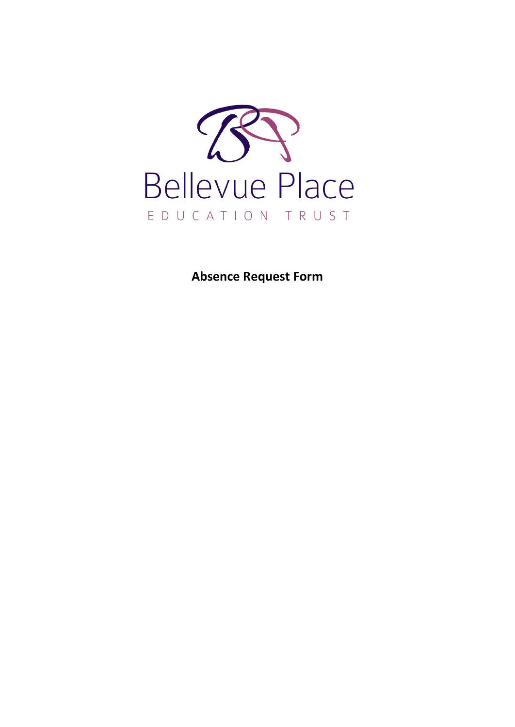

**Absence Request Form**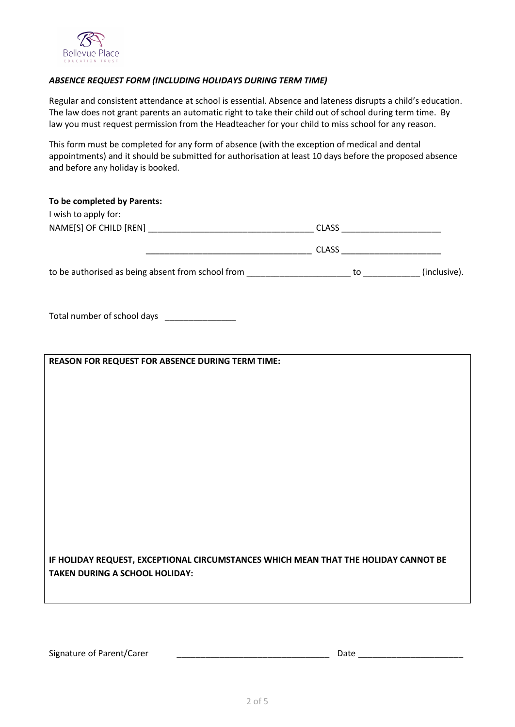

## *ABSENCE REQUEST FORM (INCLUDING HOLIDAYS DURING TERM TIME)*

Regular and consistent attendance at school is essential. Absence and lateness disrupts a child's education. The law does not grant parents an automatic right to take their child out of school during term time. By law you must request permission from the Headteacher for your child to miss school for any reason.

This form must be completed for any form of absence (with the exception of medical and dental appointments) and it should be submitted for authorisation at least 10 days before the proposed absence and before any holiday is booked.

| To be completed by Parents:<br>I wish to apply for:                                                                          |  |  |
|------------------------------------------------------------------------------------------------------------------------------|--|--|
|                                                                                                                              |  |  |
|                                                                                                                              |  |  |
|                                                                                                                              |  |  |
| Total number of school days _______________                                                                                  |  |  |
|                                                                                                                              |  |  |
| <b>REASON FOR REQUEST FOR ABSENCE DURING TERM TIME:</b>                                                                      |  |  |
|                                                                                                                              |  |  |
|                                                                                                                              |  |  |
|                                                                                                                              |  |  |
|                                                                                                                              |  |  |
|                                                                                                                              |  |  |
|                                                                                                                              |  |  |
|                                                                                                                              |  |  |
|                                                                                                                              |  |  |
|                                                                                                                              |  |  |
| IF HOLIDAY REQUEST, EXCEPTIONAL CIRCUMSTANCES WHICH MEAN THAT THE HOLIDAY CANNOT BE<br><b>TAKEN DURING A SCHOOL HOLIDAY:</b> |  |  |
|                                                                                                                              |  |  |

Signature of Parent/Carer \_\_\_\_\_\_\_\_\_\_\_\_\_\_\_\_\_\_\_\_\_\_\_\_\_\_\_\_\_\_\_\_ Date \_\_\_\_\_\_\_\_\_\_\_\_\_\_\_\_\_\_\_\_\_\_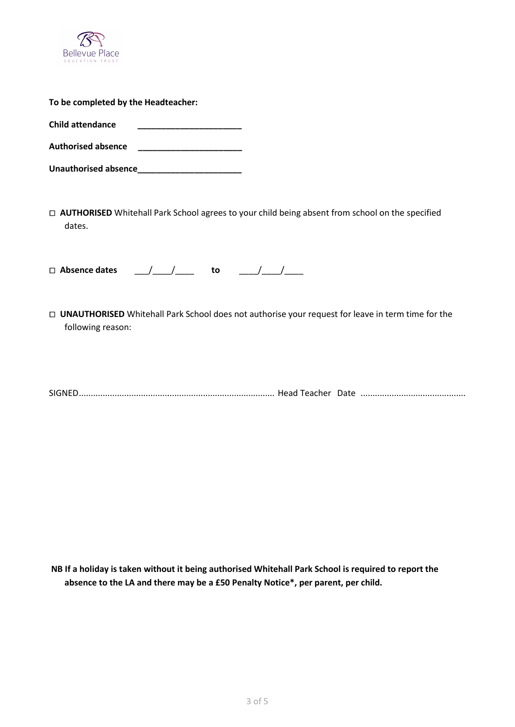

| To be completed by the Headteacher: |  |
|-------------------------------------|--|
| Child attendance                    |  |
| <b>Authorised absence</b>           |  |
| Unauthorised absence                |  |

 **AUTHORISED** Whitehall Park School agrees to your child being absent from school on the specified dates.

 **Absence dates** \_\_\_/\_\_\_\_/\_\_\_\_ **to** \_\_\_\_/\_\_\_\_/\_\_\_\_

 **UNAUTHORISED** Whitehall Park School does not authorise your request for leave in term time for the following reason:

SIGNED.................................................................................. Head Teacher Date ............................................

**NB If a holiday is taken without it being authorised Whitehall Park School is required to report the absence to the LA and there may be a £50 Penalty Notice\*, per parent, per child.**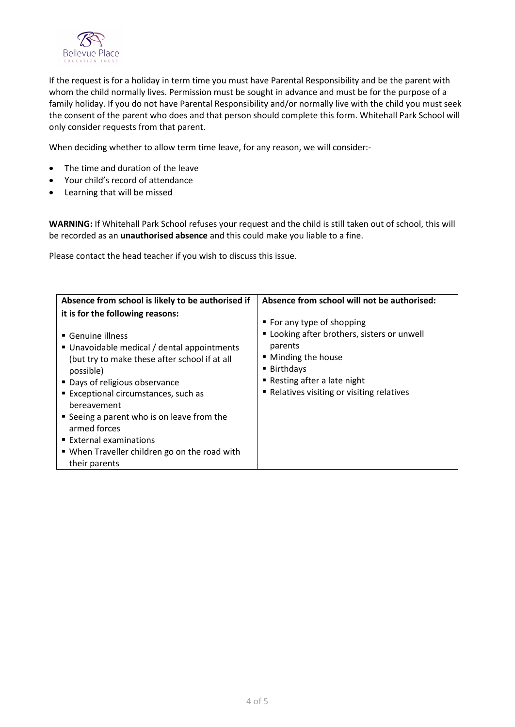

If the request is for a holiday in term time you must have Parental Responsibility and be the parent with whom the child normally lives. Permission must be sought in advance and must be for the purpose of a family holiday. If you do not have Parental Responsibility and/or normally live with the child you must seek the consent of the parent who does and that person should complete this form. Whitehall Park School will only consider requests from that parent.

When deciding whether to allow term time leave, for any reason, we will consider:-

- The time and duration of the leave
- Your child's record of attendance
- Learning that will be missed

**WARNING:** If Whitehall Park School refuses your request and the child is still taken out of school, this will be recorded as an **unauthorised absence** and this could make you liable to a fine.

Please contact the head teacher if you wish to discuss this issue.

| it is for the following reasons:<br>■ For any type of shopping                                                                                                                                                                                                                                                                                                                                                                                                                                                                                                          |
|-------------------------------------------------------------------------------------------------------------------------------------------------------------------------------------------------------------------------------------------------------------------------------------------------------------------------------------------------------------------------------------------------------------------------------------------------------------------------------------------------------------------------------------------------------------------------|
| " Looking after brothers, sisters or unwell<br>$\blacksquare$ Genuine illness<br>parents<br>■ Unavoidable medical / dental appointments<br>■ Minding the house<br>(but try to make these after school if at all<br>$\blacksquare$ Birthdays<br>possible)<br>■ Resting after a late night<br>■ Days of religious observance<br>• Relatives visiting or visiting relatives<br>Exceptional circumstances, such as<br>bereavement<br>■ Seeing a parent who is on leave from the<br>armed forces<br>■ External examinations<br>• When Traveller children go on the road with |